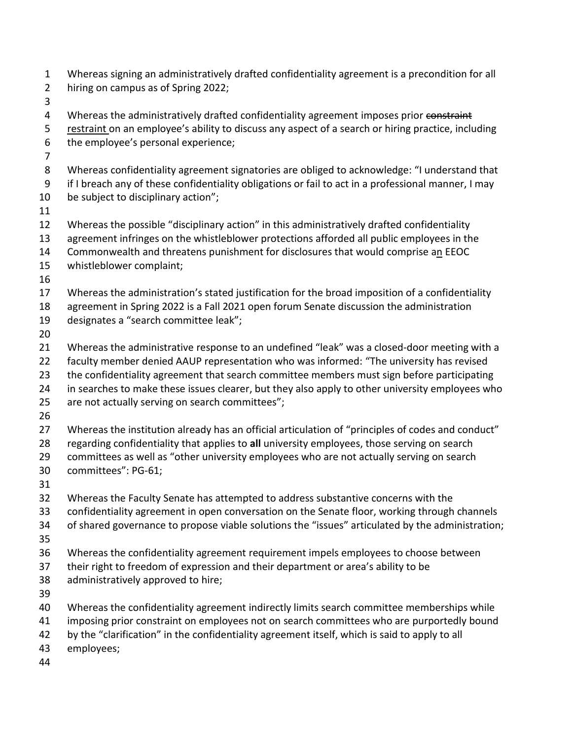| $\mathbf{1}$<br>$\overline{2}$ | Whereas signing an administratively drafted confidentiality agreement is a precondition for all<br>hiring on campus as of Spring 2022;                                                        |
|--------------------------------|-----------------------------------------------------------------------------------------------------------------------------------------------------------------------------------------------|
| 3                              |                                                                                                                                                                                               |
| 4<br>5                         | Whereas the administratively drafted confidentiality agreement imposes prior constraint<br>restraint on an employee's ability to discuss any aspect of a search or hiring practice, including |
| 6                              | the employee's personal experience;                                                                                                                                                           |
| 7                              |                                                                                                                                                                                               |
| 8                              | Whereas confidentiality agreement signatories are obliged to acknowledge: "I understand that                                                                                                  |
| 9                              | if I breach any of these confidentiality obligations or fail to act in a professional manner, I may                                                                                           |
| 10                             | be subject to disciplinary action";                                                                                                                                                           |
| 11                             |                                                                                                                                                                                               |
| 12                             | Whereas the possible "disciplinary action" in this administratively drafted confidentiality                                                                                                   |
| 13                             | agreement infringes on the whistleblower protections afforded all public employees in the                                                                                                     |
| 14                             | Commonwealth and threatens punishment for disclosures that would comprise an EEOC                                                                                                             |
| 15                             | whistleblower complaint;                                                                                                                                                                      |
| 16                             |                                                                                                                                                                                               |
| 17                             | Whereas the administration's stated justification for the broad imposition of a confidentiality                                                                                               |
| 18                             | agreement in Spring 2022 is a Fall 2021 open forum Senate discussion the administration                                                                                                       |
| 19                             | designates a "search committee leak";                                                                                                                                                         |
| 20                             |                                                                                                                                                                                               |
| 21                             | Whereas the administrative response to an undefined "leak" was a closed-door meeting with a                                                                                                   |
| 22                             | faculty member denied AAUP representation who was informed: "The university has revised                                                                                                       |
| 23                             | the confidentiality agreement that search committee members must sign before participating                                                                                                    |
| 24                             | in searches to make these issues clearer, but they also apply to other university employees who                                                                                               |
| 25                             | are not actually serving on search committees";                                                                                                                                               |
| 26                             |                                                                                                                                                                                               |
| 27                             | Whereas the institution already has an official articulation of "principles of codes and conduct"                                                                                             |
| 28                             | regarding confidentiality that applies to all university employees, those serving on search                                                                                                   |
| 29                             | committees as well as "other university employees who are not actually serving on search                                                                                                      |
| 30                             | committees": PG-61;                                                                                                                                                                           |
| 31                             |                                                                                                                                                                                               |
| 32                             | Whereas the Faculty Senate has attempted to address substantive concerns with the                                                                                                             |
| 33                             | confidentiality agreement in open conversation on the Senate floor, working through channels                                                                                                  |
| 34                             | of shared governance to propose viable solutions the "issues" articulated by the administration;                                                                                              |
| 35                             |                                                                                                                                                                                               |
| 36                             | Whereas the confidentiality agreement requirement impels employees to choose between                                                                                                          |
| 37                             | their right to freedom of expression and their department or area's ability to be                                                                                                             |
| 38                             | administratively approved to hire;                                                                                                                                                            |
| 39                             |                                                                                                                                                                                               |
| 40                             | Whereas the confidentiality agreement indirectly limits search committee memberships while                                                                                                    |
| 41                             | imposing prior constraint on employees not on search committees who are purportedly bound                                                                                                     |
| 42                             | by the "clarification" in the confidentiality agreement itself, which is said to apply to all                                                                                                 |
| 43                             | employees;                                                                                                                                                                                    |
| 44                             |                                                                                                                                                                                               |